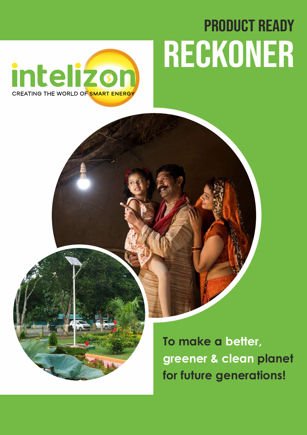# Product Ready Reckoner



**To make a better, greener & clean planet for future generations!**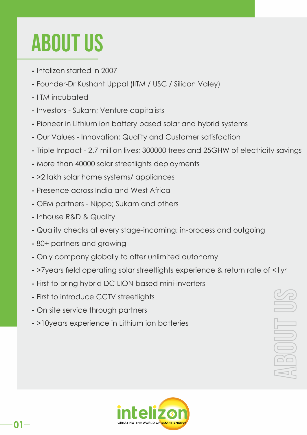## About US

- Intelizon started in 2007
- Founder-Dr Kushant Uppal (IITM / USC / Silicon Valey)
- IITM incubated
- Investors Sukam; Venture capitalists
- Pioneer in Lithium ion battery based solar and hybrid systems
- Our Values Innovation; Quality and Customer satisfaction
- Triple Impact 2.7 million lives; 300000 trees and 25GHW of electricity savings
- More than 40000 solar streetlights deployments
- >2 lakh solar home systems/ appliances
- Presence across India and West Africa
- OEM partners Nippo; Sukam and others
- Inhouse R&D & Quality
- Quality checks at every stage-incoming; in-process and outgoing
- 80+ partners and growing
- Only company globally to offer unlimited autonomy
- >7years field operating solar streetlights experience & return rate of <1yr
- First to bring hybrid DC LION based mini-inverters
- First to introduce CCTV streetlights
- On site service through partners
- >10years experience in Lithium ion batteries



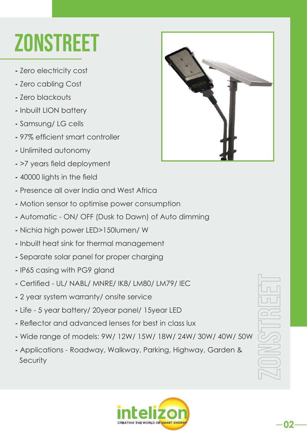## **ZONSTREET**

- Zero electricity cost
- Zero cabling Cost
- Zero blackouts
- Inbuilt LION battery
- Samsung/ LG cells
- 97% efficient smart controller
- Unlimited autonomy
- >7 years field deployment
- 40000 lights in the field
- Presence all over India and West Africa
- Motion sensor to optimise power consumption
- Automatic ON/ OFF (Dusk to Dawn) of Auto dimming
- Nichia high power LED>150lumen/ W
- Inbuilt heat sink for thermal management
- Separate solar panel for proper charging
- IP65 casing with PG9 gland
- Certied UL/ NABL/ MNRE/ IK8/ LM80/ LM79/ IEC
- 2 year system warranty/ onsite service
- Life 5 year battery/ 20year panel/ 15year LED
- **Reflector and advanced lenses for best in class lux**
- Wide range of models: 9W/ 12W/ 15W/ 18W/ 24W/ 30W/ 40W/ 50W
- Applications Roadway, Walkway, Parking, Highway, Garden & **Security**





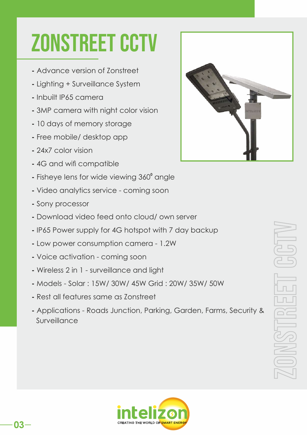#### **ZONSTREET CCTV**

- Advance version of Zonstreet
- Lighting + Surveillance System
- Inbuilt IP65 camera
- 3MP camera with night color vision
- 10 days of memory storage
- Free mobile/ desktop app
- 24x7 color vision
- **4G and wifi compatible**
- Fisheye lens for wide viewing 360° angle
- Video analytics service coming soon
- Sony processor
- Download video feed onto cloud/ own server
- IP65 Power supply for 4G hotspot with 7 day backup
- Low power consumption camera 1.2W
- Voice activation coming soon
- Wireless 2 in 1 surveillance and light
- Models Solar : 15W/ 30W/ 45W Grid : 20W/ 35W/ 50W
- Rest all features same as Zonstreet
- Applications Roads Junction, Parking, Garden, Farms, Security & Surveillance



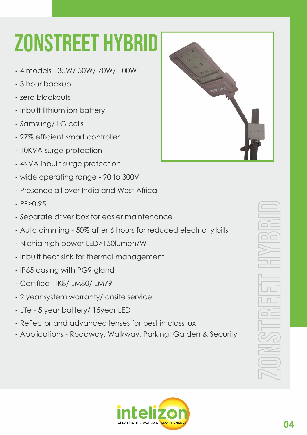#### Zonstreet HYBRID

- 4 models 35W/ 50W/ 70W/ 100W
- 3 hour backup
- zero blackouts
- Inbuilt lithium ion battery
- Samsung/ LG cells
- 97% efficient smart controller
- 10KVA surge protection
- 4KVA inbuilt surge protection
- wide operating range 90 to 300V
- Presence all over India and West Africa
- PF>0.95
- Separate driver box for easier maintenance
- Auto dimming 50% after 6 hours for reduced electricity bills
- Nichia high power LED>150lumen/W
- Inbuilt heat sink for thermal management
- IP65 casing with PG9 gland
- Certied IK8/ LM80/ LM79
- 2 year system warranty/ onsite service
- Life 5 year battery/ 15year LED
- **Reflector and advanced lenses for best in class lux**
- Applications Roadway, Walkway, Parking, Garden & Security



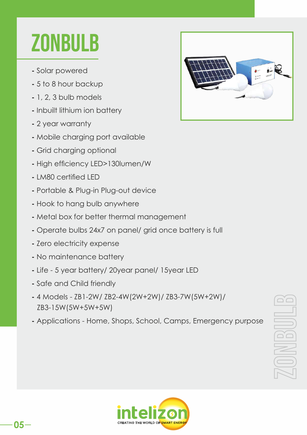#### **ZONBULB**

- Solar powered
- 5 to 8 hour backup
- 1, 2, 3 bulb models
- Inbuilt lithium ion battery
- 2 year warranty
- Mobile charging port available
- Grid charging optional
- High efficiency LED>130lumen/W
- LM80 certied LED
- Portable & Plug-in Plug-out device
- Hook to hang bulb anywhere
- Metal box for better thermal management
- Operate bulbs 24x7 on panel/ grid once battery is full
- Zero electricity expense
- No maintenance battery
- Life 5 year battery/ 20year panel/ 15year LED
- Safe and Child friendly
- 4 Models ZB1-2W/ ZB2-4W(2W+2W)/ ZB3-7W(5W+2W)/ ZB3-15W(5W+5W+5W)
- Applications Home, Shops, School, Camps, Emergency purpose





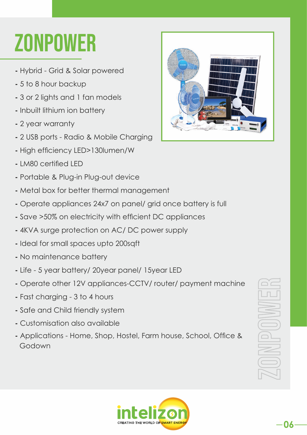## **ZONPOWER**

- Hybrid Grid & Solar powered
- 5 to 8 hour backup
- 3 or 2 lights and 1 fan models
- Inbuilt lithium ion battery
- 2 year warranty
- 2 USB ports Radio & Mobile Charging
- High efficiency LED>130lumen/W
- LM80 certied LED
- Portable & Plug-in Plug-out device
- Metal box for better thermal management
- Operate appliances 24x7 on panel/ grid once battery is full
- Save  $>50\%$  on electricity with efficient DC appliances
- 4KVA surge protection on AC/ DC power supply
- Ideal for small spaces upto 200sqft
- No maintenance battery
- Life 5 year battery/ 20year panel/ 15year LED
- Operate other 12V appliances-CCTV/ router/ payment machine
- Fast charging 3 to 4 hours
- Safe and Child friendly system
- Customisation also available
- Applications Home, Shop, Hostel, Farm house, School, Office & Godown